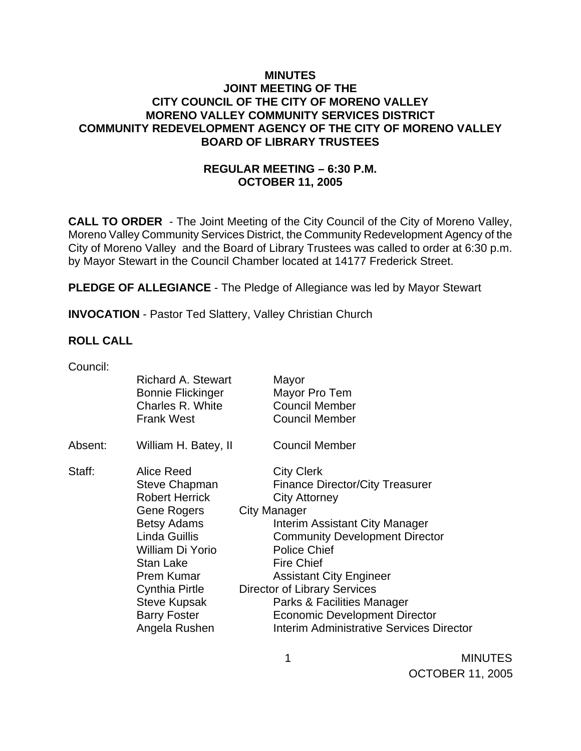## **MINUTES JOINT MEETING OF THE CITY COUNCIL OF THE CITY OF MORENO VALLEY MORENO VALLEY COMMUNITY SERVICES DISTRICT COMMUNITY REDEVELOPMENT AGENCY OF THE CITY OF MORENO VALLEY BOARD OF LIBRARY TRUSTEES**

## **REGULAR MEETING – 6:30 P.M. OCTOBER 11, 2005**

**CALL TO ORDER** - The Joint Meeting of the City Council of the City of Moreno Valley, Moreno Valley Community Services District, the Community Redevelopment Agency of the City of Moreno Valley and the Board of Library Trustees was called to order at 6:30 p.m. by Mayor Stewart in the Council Chamber located at 14177 Frederick Street.

**PLEDGE OF ALLEGIANCE** - The Pledge of Allegiance was led by Mayor Stewart

**INVOCATION** - Pastor Ted Slattery, Valley Christian Church

### **ROLL CALL**

| Council: |                           |                                          |  |
|----------|---------------------------|------------------------------------------|--|
|          | <b>Richard A. Stewart</b> | Mayor                                    |  |
|          | <b>Bonnie Flickinger</b>  | Mayor Pro Tem                            |  |
|          | Charles R. White          | <b>Council Member</b>                    |  |
|          | <b>Frank West</b>         | <b>Council Member</b>                    |  |
| Absent:  | William H. Batey, II      | <b>Council Member</b>                    |  |
| Staff:   | Alice Reed                | <b>City Clerk</b>                        |  |
|          | Steve Chapman             | <b>Finance Director/City Treasurer</b>   |  |
|          | <b>Robert Herrick</b>     | <b>City Attorney</b>                     |  |
|          | Gene Rogers               | <b>City Manager</b>                      |  |
|          | <b>Betsy Adams</b>        | Interim Assistant City Manager           |  |
|          | Linda Guillis             | <b>Community Development Director</b>    |  |
|          | William Di Yorio          | <b>Police Chief</b>                      |  |
|          | <b>Stan Lake</b>          | <b>Fire Chief</b>                        |  |
|          | Prem Kumar                | <b>Assistant City Engineer</b>           |  |
|          | Cynthia Pirtle            | <b>Director of Library Services</b>      |  |
|          | <b>Steve Kupsak</b>       | Parks & Facilities Manager               |  |
|          | <b>Barry Foster</b>       | <b>Economic Development Director</b>     |  |
|          | Angela Rushen             | Interim Administrative Services Director |  |

1 MINUTES OCTOBER 11, 2005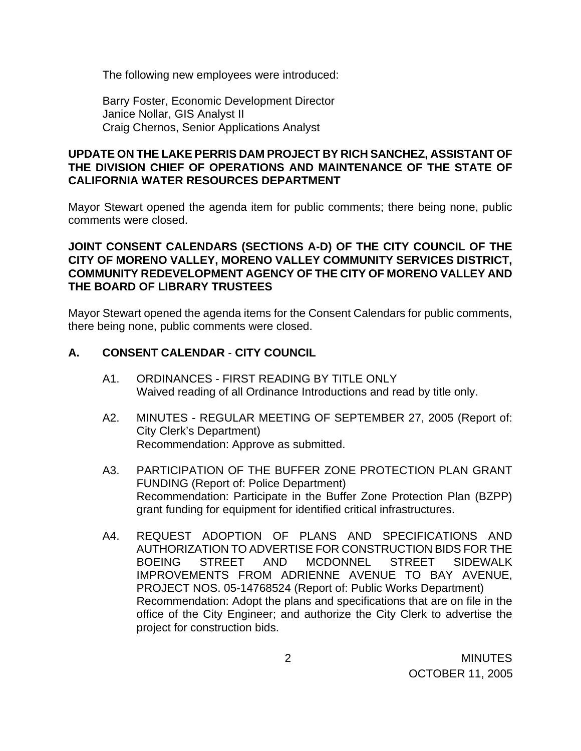The following new employees were introduced:

 Barry Foster, Economic Development Director Janice Nollar, GIS Analyst II Craig Chernos, Senior Applications Analyst

## **UPDATE ON THE LAKE PERRIS DAM PROJECT BY RICH SANCHEZ, ASSISTANT OF THE DIVISION CHIEF OF OPERATIONS AND MAINTENANCE OF THE STATE OF CALIFORNIA WATER RESOURCES DEPARTMENT**

 Mayor Stewart opened the agenda item for public comments; there being none, public comments were closed.

## **JOINT CONSENT CALENDARS (SECTIONS A-D) OF THE CITY COUNCIL OF THE CITY OF MORENO VALLEY, MORENO VALLEY COMMUNITY SERVICES DISTRICT, COMMUNITY REDEVELOPMENT AGENCY OF THE CITY OF MORENO VALLEY AND THE BOARD OF LIBRARY TRUSTEES**

Mayor Stewart opened the agenda items for the Consent Calendars for public comments, there being none, public comments were closed.

## **A. CONSENT CALENDAR** - **CITY COUNCIL**

- A1. ORDINANCES FIRST READING BY TITLE ONLY Waived reading of all Ordinance Introductions and read by title only.
- A2. MINUTES REGULAR MEETING OF SEPTEMBER 27, 2005 (Report of: City Clerk's Department) Recommendation: Approve as submitted.
- A3. PARTICIPATION OF THE BUFFER ZONE PROTECTION PLAN GRANT FUNDING (Report of: Police Department) Recommendation: Participate in the Buffer Zone Protection Plan (BZPP) grant funding for equipment for identified critical infrastructures.
- A4. REQUEST ADOPTION OF PLANS AND SPECIFICATIONS AND AUTHORIZATION TO ADVERTISE FOR CONSTRUCTION BIDS FOR THE BOEING STREET AND MCDONNEL STREET SIDEWALK IMPROVEMENTS FROM ADRIENNE AVENUE TO BAY AVENUE, PROJECT NOS. 05-14768524 (Report of: Public Works Department) Recommendation: Adopt the plans and specifications that are on file in the office of the City Engineer; and authorize the City Clerk to advertise the project for construction bids.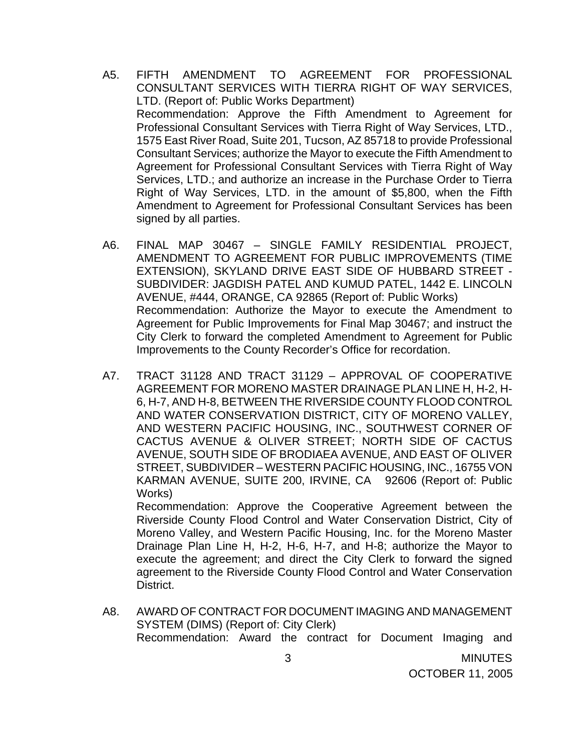- A5. FIFTH AMENDMENT TO AGREEMENT FOR PROFESSIONAL CONSULTANT SERVICES WITH TIERRA RIGHT OF WAY SERVICES, LTD. (Report of: Public Works Department) Recommendation: Approve the Fifth Amendment to Agreement for Professional Consultant Services with Tierra Right of Way Services, LTD., 1575 East River Road, Suite 201, Tucson, AZ 85718 to provide Professional Consultant Services; authorize the Mayor to execute the Fifth Amendment to Agreement for Professional Consultant Services with Tierra Right of Way Services, LTD.; and authorize an increase in the Purchase Order to Tierra Right of Way Services, LTD. in the amount of \$5,800, when the Fifth Amendment to Agreement for Professional Consultant Services has been signed by all parties.
- A6. FINAL MAP 30467 SINGLE FAMILY RESIDENTIAL PROJECT, AMENDMENT TO AGREEMENT FOR PUBLIC IMPROVEMENTS (TIME EXTENSION), SKYLAND DRIVE EAST SIDE OF HUBBARD STREET - SUBDIVIDER: JAGDISH PATEL AND KUMUD PATEL, 1442 E. LINCOLN AVENUE, #444, ORANGE, CA 92865 (Report of: Public Works) Recommendation: Authorize the Mayor to execute the Amendment to Agreement for Public Improvements for Final Map 30467; and instruct the City Clerk to forward the completed Amendment to Agreement for Public Improvements to the County Recorder's Office for recordation.
- A7. TRACT 31128 AND TRACT 31129 APPROVAL OF COOPERATIVE AGREEMENT FOR MORENO MASTER DRAINAGE PLAN LINE H, H-2, H-6, H-7, AND H-8, BETWEEN THE RIVERSIDE COUNTY FLOOD CONTROL AND WATER CONSERVATION DISTRICT, CITY OF MORENO VALLEY, AND WESTERN PACIFIC HOUSING, INC., SOUTHWEST CORNER OF CACTUS AVENUE & OLIVER STREET; NORTH SIDE OF CACTUS AVENUE, SOUTH SIDE OF BRODIAEA AVENUE, AND EAST OF OLIVER STREET, SUBDIVIDER – WESTERN PACIFIC HOUSING, INC., 16755 VON KARMAN AVENUE, SUITE 200, IRVINE, CA 92606 (Report of: Public Works)

 Recommendation: Approve the Cooperative Agreement between the Riverside County Flood Control and Water Conservation District, City of Moreno Valley, and Western Pacific Housing, Inc. for the Moreno Master Drainage Plan Line H, H-2, H-6, H-7, and H-8; authorize the Mayor to execute the agreement; and direct the City Clerk to forward the signed agreement to the Riverside County Flood Control and Water Conservation District.

A8. AWARD OF CONTRACT FOR DOCUMENT IMAGING AND MANAGEMENT SYSTEM (DIMS) (Report of: City Clerk) Recommendation: Award the contract for Document Imaging and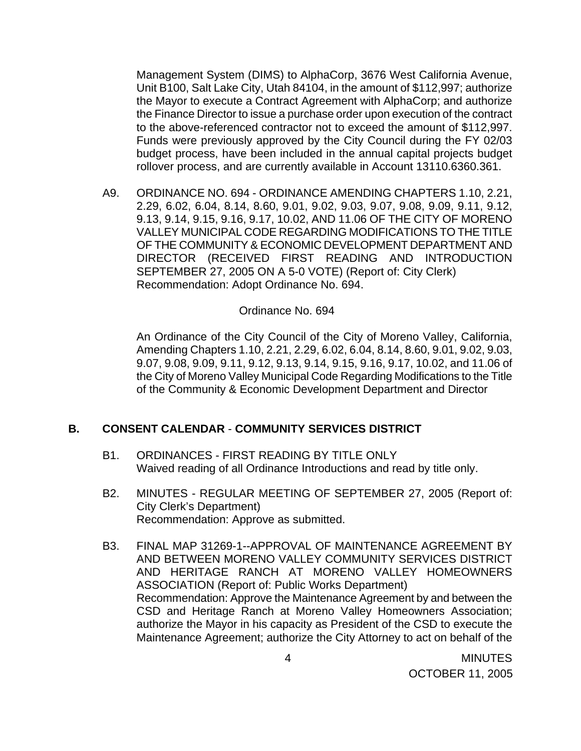Management System (DIMS) to AlphaCorp, 3676 West California Avenue, Unit B100, Salt Lake City, Utah 84104, in the amount of \$112,997; authorize the Mayor to execute a Contract Agreement with AlphaCorp; and authorize the Finance Director to issue a purchase order upon execution of the contract to the above-referenced contractor not to exceed the amount of \$112,997. Funds were previously approved by the City Council during the FY 02/03 budget process, have been included in the annual capital projects budget rollover process, and are currently available in Account 13110.6360.361.

A9. ORDINANCE NO. 694 - ORDINANCE AMENDING CHAPTERS 1.10, 2.21, 2.29, 6.02, 6.04, 8.14, 8.60, 9.01, 9.02, 9.03, 9.07, 9.08, 9.09, 9.11, 9.12, 9.13, 9.14, 9.15, 9.16, 9.17, 10.02, AND 11.06 OF THE CITY OF MORENO VALLEY MUNICIPAL CODE REGARDING MODIFICATIONS TO THE TITLE OF THE COMMUNITY & ECONOMIC DEVELOPMENT DEPARTMENT AND DIRECTOR (RECEIVED FIRST READING AND INTRODUCTION SEPTEMBER 27, 2005 ON A 5-0 VOTE) (Report of: City Clerk) Recommendation: Adopt Ordinance No. 694.

#### Ordinance No. 694

An Ordinance of the City Council of the City of Moreno Valley, California, Amending Chapters 1.10, 2.21, 2.29, 6.02, 6.04, 8.14, 8.60, 9.01, 9.02, 9.03, 9.07, 9.08, 9.09, 9.11, 9.12, 9.13, 9.14, 9.15, 9.16, 9.17, 10.02, and 11.06 of the City of Moreno Valley Municipal Code Regarding Modifications to the Title of the Community & Economic Development Department and Director

### **B. CONSENT CALENDAR** - **COMMUNITY SERVICES DISTRICT**

- B1. ORDINANCES FIRST READING BY TITLE ONLY Waived reading of all Ordinance Introductions and read by title only.
- B2. MINUTES REGULAR MEETING OF SEPTEMBER 27, 2005 (Report of: City Clerk's Department) Recommendation: Approve as submitted.
- B3. FINAL MAP 31269-1--APPROVAL OF MAINTENANCE AGREEMENT BY AND BETWEEN MORENO VALLEY COMMUNITY SERVICES DISTRICT AND HERITAGE RANCH AT MORENO VALLEY HOMEOWNERS ASSOCIATION (Report of: Public Works Department) Recommendation: Approve the Maintenance Agreement by and between the CSD and Heritage Ranch at Moreno Valley Homeowners Association; authorize the Mayor in his capacity as President of the CSD to execute the Maintenance Agreement; authorize the City Attorney to act on behalf of the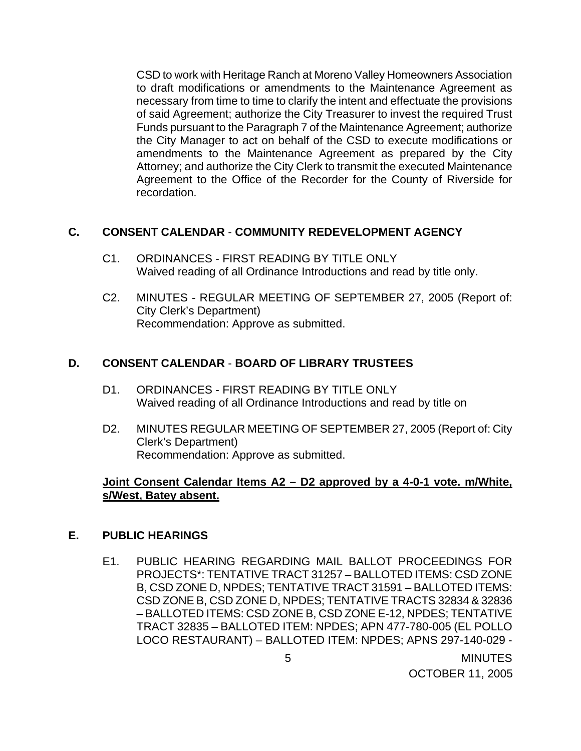CSD to work with Heritage Ranch at Moreno Valley Homeowners Association to draft modifications or amendments to the Maintenance Agreement as necessary from time to time to clarify the intent and effectuate the provisions of said Agreement; authorize the City Treasurer to invest the required Trust Funds pursuant to the Paragraph 7 of the Maintenance Agreement; authorize the City Manager to act on behalf of the CSD to execute modifications or amendments to the Maintenance Agreement as prepared by the City Attorney; and authorize the City Clerk to transmit the executed Maintenance Agreement to the Office of the Recorder for the County of Riverside for recordation.

### **C. CONSENT CALENDAR** - **COMMUNITY REDEVELOPMENT AGENCY**

- C1. ORDINANCES FIRST READING BY TITLE ONLY Waived reading of all Ordinance Introductions and read by title only.
- C2. MINUTES REGULAR MEETING OF SEPTEMBER 27, 2005 (Report of: City Clerk's Department) Recommendation: Approve as submitted.

## **D. CONSENT CALENDAR** - **BOARD OF LIBRARY TRUSTEES**

- D1. ORDINANCES FIRST READING BY TITLE ONLY Waived reading of all Ordinance Introductions and read by title on
- D2. MINUTES REGULAR MEETING OF SEPTEMBER 27, 2005 (Report of: City Clerk's Department) Recommendation: Approve as submitted.

### **Joint Consent Calendar Items A2 – D2 approved by a 4-0-1 vote. m/White, s/West, Batey absent.**

### **E. PUBLIC HEARINGS**

E1. PUBLIC HEARING REGARDING MAIL BALLOT PROCEEDINGS FOR PROJECTS\*: TENTATIVE TRACT 31257 – BALLOTED ITEMS: CSD ZONE B, CSD ZONE D, NPDES; TENTATIVE TRACT 31591 – BALLOTED ITEMS: CSD ZONE B, CSD ZONE D, NPDES; TENTATIVE TRACTS 32834 & 32836 – BALLOTED ITEMS: CSD ZONE B, CSD ZONE E-12, NPDES; TENTATIVE TRACT 32835 – BALLOTED ITEM: NPDES; APN 477-780-005 (EL POLLO LOCO RESTAURANT) – BALLOTED ITEM: NPDES; APNS 297-140-029 -

 5 MINUTES OCTOBER 11, 2005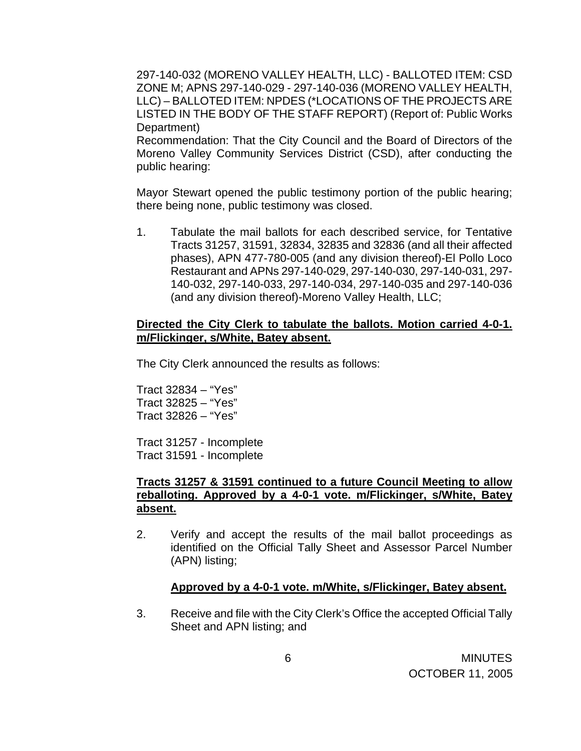297-140-032 (MORENO VALLEY HEALTH, LLC) - BALLOTED ITEM: CSD ZONE M; APNS 297-140-029 - 297-140-036 (MORENO VALLEY HEALTH, LLC) – BALLOTED ITEM: NPDES (\*LOCATIONS OF THE PROJECTS ARE LISTED IN THE BODY OF THE STAFF REPORT) (Report of: Public Works Department)

 Recommendation: That the City Council and the Board of Directors of the Moreno Valley Community Services District (CSD), after conducting the public hearing:

 Mayor Stewart opened the public testimony portion of the public hearing; there being none, public testimony was closed.

 1. Tabulate the mail ballots for each described service, for Tentative Tracts 31257, 31591, 32834, 32835 and 32836 (and all their affected phases), APN 477-780-005 (and any division thereof)-El Pollo Loco Restaurant and APNs 297-140-029, 297-140-030, 297-140-031, 297- 140-032, 297-140-033, 297-140-034, 297-140-035 and 297-140-036 (and any division thereof)-Moreno Valley Health, LLC;

### **Directed the City Clerk to tabulate the ballots. Motion carried 4-0-1. m/Flickinger, s/White, Batey absent.**

The City Clerk announced the results as follows:

 Tract 32834 – "Yes" Tract 32825 – "Yes" Tract 32826 – "Yes"

 Tract 31257 - Incomplete Tract 31591 - Incomplete

## **Tracts 31257 & 31591 continued to a future Council Meeting to allow reballoting. Approved by a 4-0-1 vote. m/Flickinger, s/White, Batey absent.**

 2. Verify and accept the results of the mail ballot proceedings as identified on the Official Tally Sheet and Assessor Parcel Number (APN) listing;

### **Approved by a 4-0-1 vote. m/White, s/Flickinger, Batey absent.**

 3. Receive and file with the City Clerk's Office the accepted Official Tally Sheet and APN listing; and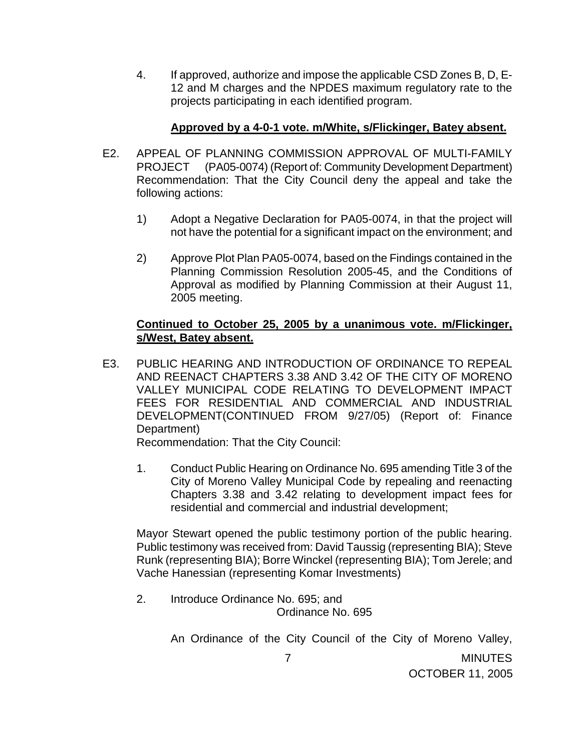4. If approved, authorize and impose the applicable CSD Zones B, D, E-12 and M charges and the NPDES maximum regulatory rate to the projects participating in each identified program.

## **Approved by a 4-0-1 vote. m/White, s/Flickinger, Batey absent.**

- E2. APPEAL OF PLANNING COMMISSION APPROVAL OF MULTI-FAMILY PROJECT (PA05-0074) (Report of: Community Development Department) Recommendation: That the City Council deny the appeal and take the following actions:
	- 1) Adopt a Negative Declaration for PA05-0074, in that the project will not have the potential for a significant impact on the environment; and
	- 2) Approve Plot Plan PA05-0074, based on the Findings contained in the Planning Commission Resolution 2005-45, and the Conditions of Approval as modified by Planning Commission at their August 11, 2005 meeting.

## **Continued to October 25, 2005 by a unanimous vote. m/Flickinger, s/West, Batey absent.**

E3. PUBLIC HEARING AND INTRODUCTION OF ORDINANCE TO REPEAL AND REENACT CHAPTERS 3.38 AND 3.42 OF THE CITY OF MORENO VALLEY MUNICIPAL CODE RELATING TO DEVELOPMENT IMPACT FEES FOR RESIDENTIAL AND COMMERCIAL AND INDUSTRIAL DEVELOPMENT(CONTINUED FROM 9/27/05) (Report of: Finance Department)

Recommendation: That the City Council:

1. Conduct Public Hearing on Ordinance No. 695 amending Title 3 of the City of Moreno Valley Municipal Code by repealing and reenacting Chapters 3.38 and 3.42 relating to development impact fees for residential and commercial and industrial development;

 Mayor Stewart opened the public testimony portion of the public hearing. Public testimony was received from: David Taussig (representing BIA); Steve Runk (representing BIA); Borre Winckel (representing BIA); Tom Jerele; and Vache Hanessian (representing Komar Investments)

2. Introduce Ordinance No. 695; and Ordinance No. 695

An Ordinance of the City Council of the City of Moreno Valley,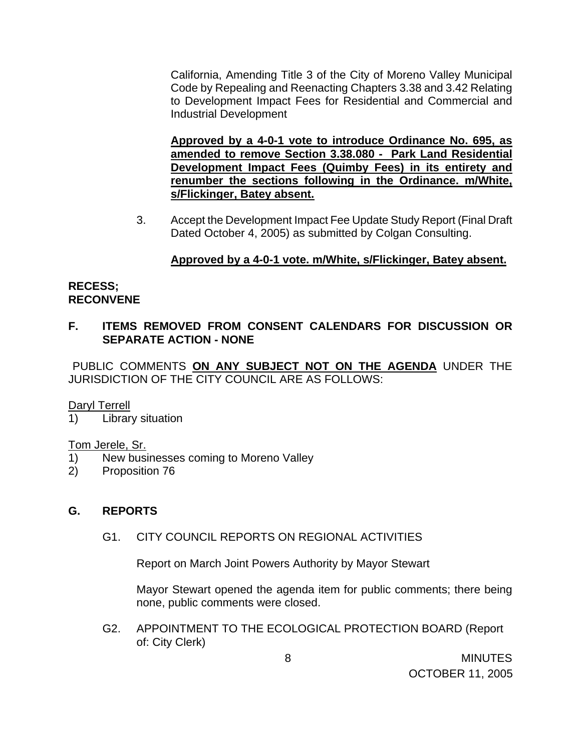California, Amending Title 3 of the City of Moreno Valley Municipal Code by Repealing and Reenacting Chapters 3.38 and 3.42 Relating to Development Impact Fees for Residential and Commercial and Industrial Development

**Approved by a 4-0-1 vote to introduce Ordinance No. 695, as amended to remove Section 3.38.080 - Park Land Residential Development Impact Fees (Quimby Fees) in its entirety and renumber the sections following in the Ordinance. m/White, s/Flickinger, Batey absent.**

3. Accept the Development Impact Fee Update Study Report (Final Draft Dated October 4, 2005) as submitted by Colgan Consulting.

# **Approved by a 4-0-1 vote. m/White, s/Flickinger, Batey absent.**

## **RECESS; RECONVENE**

# **F. ITEMS REMOVED FROM CONSENT CALENDARS FOR DISCUSSION OR SEPARATE ACTION - NONE**

PUBLIC COMMENTS **ON ANY SUBJECT NOT ON THE AGENDA** UNDER THE JURISDICTION OF THE CITY COUNCIL ARE AS FOLLOWS:

### Daryl Terrell

1) Library situation

### Tom Jerele, Sr.

- 1) New businesses coming to Moreno Valley
- 2) Proposition 76

# **G. REPORTS**

G1. CITY COUNCIL REPORTS ON REGIONAL ACTIVITIES

Report on March Joint Powers Authority by Mayor Stewart

 Mayor Stewart opened the agenda item for public comments; there being none, public comments were closed.

G2. APPOINTMENT TO THE ECOLOGICAL PROTECTION BOARD (Report of: City Clerk)

> 8 MINUTES OCTOBER 11, 2005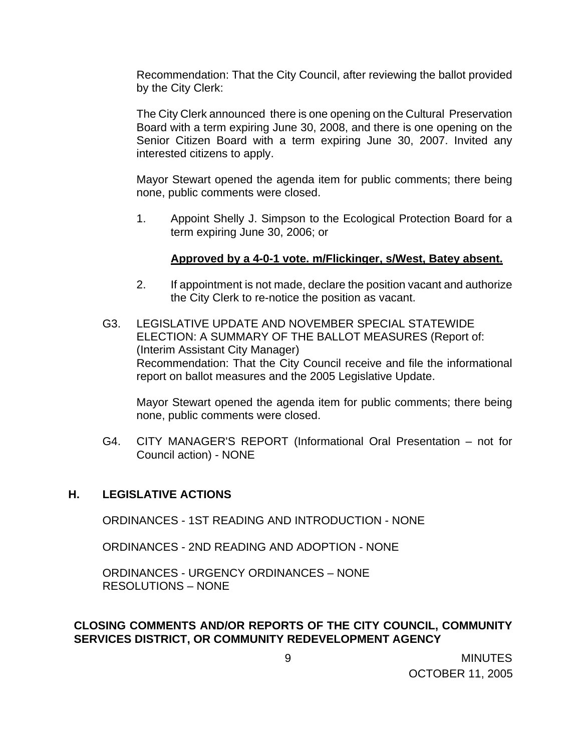Recommendation: That the City Council, after reviewing the ballot provided by the City Clerk:

The City Clerk announced there is one opening on the Cultural Preservation Board with a term expiring June 30, 2008, and there is one opening on the Senior Citizen Board with a term expiring June 30, 2007. Invited any interested citizens to apply.

 Mayor Stewart opened the agenda item for public comments; there being none, public comments were closed.

1. Appoint Shelly J. Simpson to the Ecological Protection Board for a term expiring June 30, 2006; or

### **Approved by a 4-0-1 vote. m/Flickinger, s/West, Batey absent.**

- 2. If appointment is not made, declare the position vacant and authorize the City Clerk to re-notice the position as vacant.
- G3. LEGISLATIVE UPDATE AND NOVEMBER SPECIAL STATEWIDE ELECTION: A SUMMARY OF THE BALLOT MEASURES (Report of: (Interim Assistant City Manager) Recommendation: That the City Council receive and file the informational report on ballot measures and the 2005 Legislative Update.

 Mayor Stewart opened the agenda item for public comments; there being none, public comments were closed.

G4. CITY MANAGER'S REPORT (Informational Oral Presentation – not for Council action) - NONE

### **H. LEGISLATIVE ACTIONS**

ORDINANCES - 1ST READING AND INTRODUCTION - NONE

ORDINANCES - 2ND READING AND ADOPTION - NONE

ORDINANCES - URGENCY ORDINANCES – NONE RESOLUTIONS – NONE

## **CLOSING COMMENTS AND/OR REPORTS OF THE CITY COUNCIL, COMMUNITY SERVICES DISTRICT, OR COMMUNITY REDEVELOPMENT AGENCY**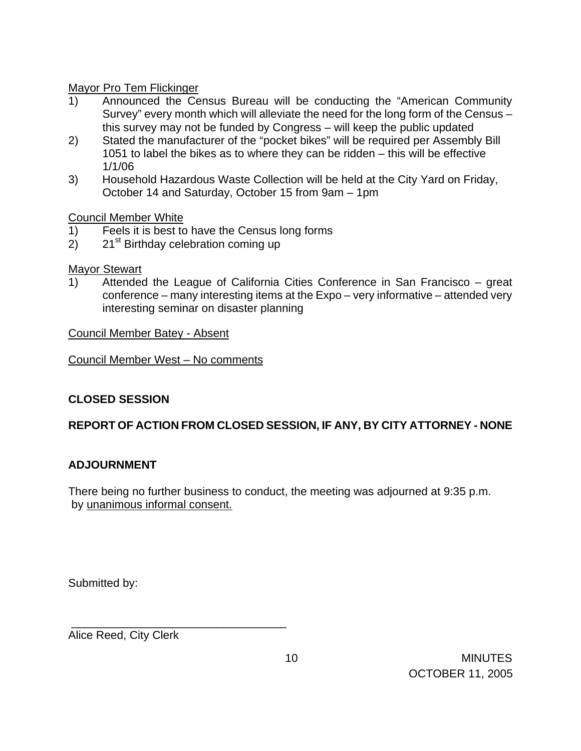## Mayor Pro Tem Flickinger

- 1) Announced the Census Bureau will be conducting the "American Community Survey" every month which will alleviate the need for the long form of the Census – this survey may not be funded by Congress – will keep the public updated
- 2) Stated the manufacturer of the "pocket bikes" will be required per Assembly Bill 1051 to label the bikes as to where they can be ridden – this will be effective 1/1/06
- 3) Household Hazardous Waste Collection will be held at the City Yard on Friday, October 14 and Saturday, October 15 from 9am – 1pm

## Council Member White

- 1) Feels it is best to have the Census long forms
- 2)  $21<sup>st</sup>$  Birthday celebration coming up

## Mayor Stewart

1) Attended the League of California Cities Conference in San Francisco – great conference – many interesting items at the Expo – very informative – attended very interesting seminar on disaster planning

Council Member Batey - Absent

Council Member West – No comments

# **CLOSED SESSION**

# **REPORT OF ACTION FROM CLOSED SESSION, IF ANY, BY CITY ATTORNEY - NONE**

# **ADJOURNMENT**

There being no further business to conduct, the meeting was adjourned at 9:35 p.m. by unanimous informal consent.

Submitted by:

Alice Reed, City Clerk

\_\_\_\_\_\_\_\_\_\_\_\_\_\_\_\_\_\_\_\_\_\_\_\_\_\_\_\_\_\_\_\_\_\_